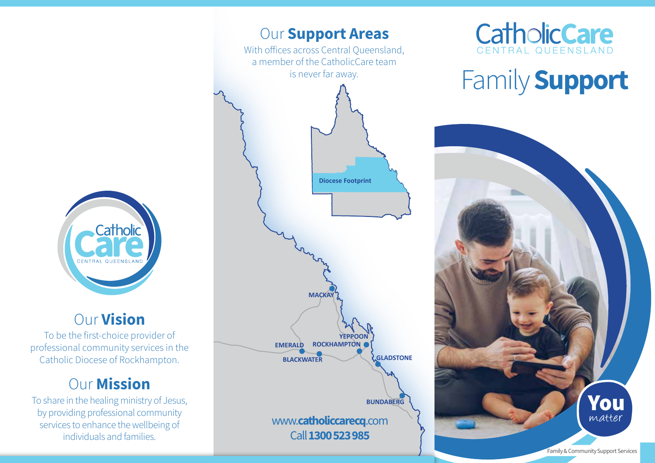

## Our Vision

To be the first-choice provider of professional community services in the Catholic Diocese of Rockhampton.

# **Our Mission**

To share in the healing ministry of Jesus, by providing professional community services to enhance the wellbeing of individuals and families.





# Family **Support**